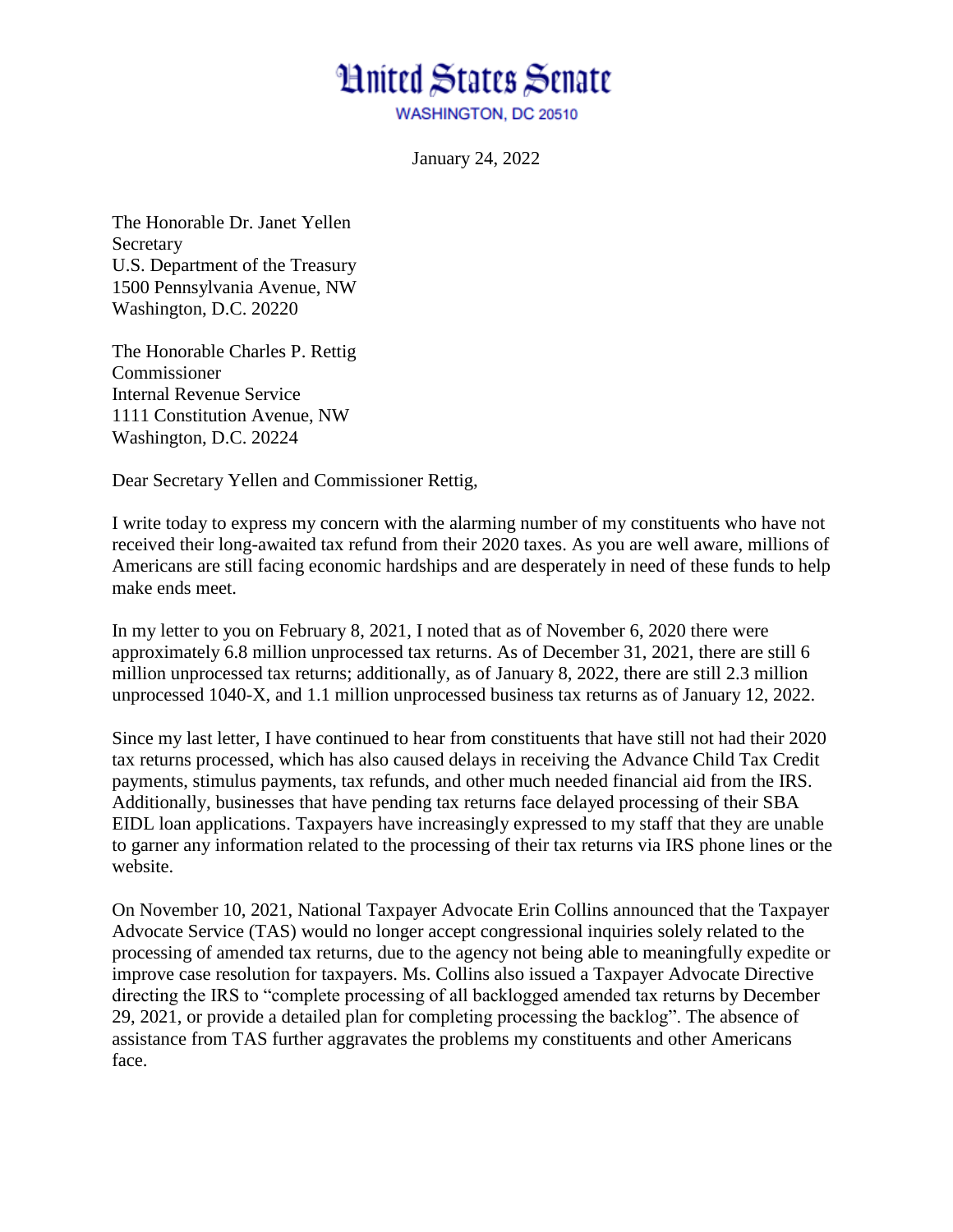## **Hnited States Senate**

**WASHINGTON, DC 20510** 

January 24, 2022

The Honorable Dr. Janet Yellen **Secretary** U.S. Department of the Treasury 1500 Pennsylvania Avenue, NW Washington, D.C. 20220

The Honorable Charles P. Rettig Commissioner Internal Revenue Service 1111 Constitution Avenue, NW Washington, D.C. 20224

Dear Secretary Yellen and Commissioner Rettig,

I write today to express my concern with the alarming number of my constituents who have not received their long-awaited tax refund from their 2020 taxes. As you are well aware, millions of Americans are still facing economic hardships and are desperately in need of these funds to help make ends meet.

In my letter to you on February 8, 2021, I noted that as of November 6, 2020 there were approximately 6.8 million unprocessed tax returns. As of December 31, 2021, there are still 6 million unprocessed tax returns; additionally, as of January 8, 2022, there are still 2.3 million unprocessed 1040-X, and 1.1 million unprocessed business tax returns as of January 12, 2022.

Since my last letter, I have continued to hear from constituents that have still not had their 2020 tax returns processed, which has also caused delays in receiving the Advance Child Tax Credit payments, stimulus payments, tax refunds, and other much needed financial aid from the IRS. Additionally, businesses that have pending tax returns face delayed processing of their SBA EIDL loan applications. Taxpayers have increasingly expressed to my staff that they are unable to garner any information related to the processing of their tax returns via IRS phone lines or the website.

On November 10, 2021, National Taxpayer Advocate Erin Collins announced that the Taxpayer Advocate Service (TAS) would no longer accept congressional inquiries solely related to the processing of amended tax returns, due to the agency not being able to meaningfully expedite or improve case resolution for taxpayers. Ms. Collins also issued a Taxpayer Advocate Directive directing the IRS to "complete processing of all backlogged amended tax returns by December 29, 2021, or provide a detailed plan for completing processing the backlog". The absence of assistance from TAS further aggravates the problems my constituents and other Americans face.